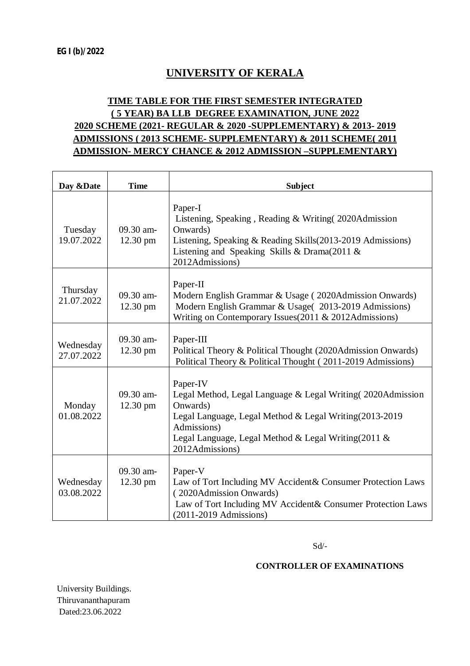# **UNIVERSITY OF KERALA**

### **TIME TABLE FOR THE FIRST SEMESTER INTEGRATED ( 5 YEAR) BA LLB DEGREE EXAMINATION, JUNE 2022 2020 SCHEME (2021- REGULAR & 2020 -SUPPLEMENTARY) & 2013- 2019 ADMISSIONS ( 2013 SCHEME- SUPPLEMENTARY) & 2011 SCHEME( 2011 ADMISSION- MERCY CHANCE & 2012 ADMISSION –SUPPLEMENTARY)**

| Day & Date              | <b>Time</b>                     | <b>Subject</b>                                                                                                                                                                                                                           |
|-------------------------|---------------------------------|------------------------------------------------------------------------------------------------------------------------------------------------------------------------------------------------------------------------------------------|
| Tuesday<br>19.07.2022   | 09.30 am-<br>12.30 pm           | Paper-I<br>Listening, Speaking, Reading & Writing (2020Admission<br>Onwards)<br>Listening, Speaking & Reading Skills(2013-2019 Admissions)<br>Listening and Speaking Skills & Drama $(2011 \&$<br>2012Admissions)                        |
| Thursday<br>21.07.2022  | 09.30 am-<br>$12.30 \text{ pm}$ | Paper-II<br>Modern English Grammar & Usage (2020Admission Onwards)<br>Modern English Grammar & Usage(2013-2019 Admissions)<br>Writing on Contemporary Issues(2011 & 2012Admissions)                                                      |
| Wednesday<br>27.07.2022 | 09.30 am-<br>12.30 pm           | Paper-III<br>Political Theory & Political Thought (2020Admission Onwards)<br>Political Theory & Political Thought (2011-2019 Admissions)                                                                                                 |
| Monday<br>01.08.2022    | 09.30 am-<br>12.30 pm           | Paper-IV<br>Legal Method, Legal Language & Legal Writing (2020Admission<br>Onwards)<br>Legal Language, Legal Method & Legal Writing (2013-2019)<br>Admissions)<br>Legal Language, Legal Method & Legal Writing(2011 &<br>2012Admissions) |
| Wednesday<br>03.08.2022 | 09.30 am-<br>12.30 pm           | Paper-V<br>Law of Tort Including MV Accident & Consumer Protection Laws<br>(2020Admission Onwards)<br>Law of Tort Including MV Accident& Consumer Protection Laws<br>(2011-2019 Admissions)                                              |

Sd/-

#### **CONTROLLER OF EXAMINATIONS**

University Buildings. Thiruvananthapuram Dated:23.06.2022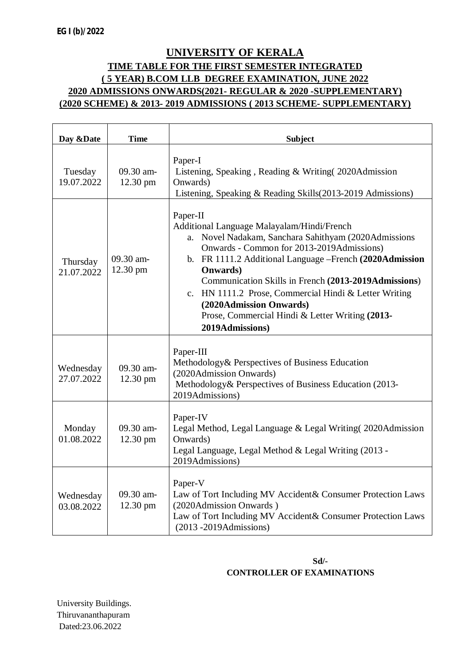## **UNIVERSITY OF KERALA TIME TABLE FOR THE FIRST SEMESTER INTEGRATED ( 5 YEAR) B.COM LLB DEGREE EXAMINATION, JUNE 2022 2020 ADMISSIONS ONWARDS(2021- REGULAR & 2020 -SUPPLEMENTARY) (2020 SCHEME) & 2013- 2019 ADMISSIONS ( 2013 SCHEME- SUPPLEMENTARY)**

| Day & Date              | <b>Time</b>           | <b>Subject</b>                                                                                                                                                                                                                                                                                                                                                                                                                                               |
|-------------------------|-----------------------|--------------------------------------------------------------------------------------------------------------------------------------------------------------------------------------------------------------------------------------------------------------------------------------------------------------------------------------------------------------------------------------------------------------------------------------------------------------|
| Tuesday<br>19.07.2022   | 09.30 am-<br>12.30 pm | Paper-I<br>Listening, Speaking, Reading & Writing (2020Admission<br>Onwards)<br>Listening, Speaking & Reading Skills(2013-2019 Admissions)                                                                                                                                                                                                                                                                                                                   |
| Thursday<br>21.07.2022  | 09.30 am-<br>12.30 pm | Paper-II<br>Additional Language Malayalam/Hindi/French<br>a. Novel Nadakam, Sanchara Sahithyam (2020Admissions<br>Onwards - Common for 2013-2019Admissions)<br>b. FR 1111.2 Additional Language -French (2020Admission<br><b>Onwards</b> )<br>Communication Skills in French (2013-2019Admissions)<br>c. HN 1111.2 Prose, Commercial Hindi & Letter Writing<br>(2020Admission Onwards)<br>Prose, Commercial Hindi & Letter Writing (2013-<br>2019Admissions) |
| Wednesday<br>27.07.2022 | 09.30 am-<br>12.30 pm | Paper-III<br>Methodology & Perspectives of Business Education<br>(2020Admission Onwards)<br>Methodology& Perspectives of Business Education (2013-<br>2019Admissions)                                                                                                                                                                                                                                                                                        |
| Monday<br>01.08.2022    | 09.30 am-<br>12.30 pm | Paper-IV<br>Legal Method, Legal Language & Legal Writing (2020Admission<br>Onwards)<br>Legal Language, Legal Method & Legal Writing (2013 -<br>2019Admissions)                                                                                                                                                                                                                                                                                               |
| Wednesday<br>03.08.2022 | 09.30 am-<br>12.30 pm | Paper-V<br>Law of Tort Including MV Accident& Consumer Protection Laws<br>(2020Admission Onwards)<br>Law of Tort Including MV Accident& Consumer Protection Laws<br>$(2013 - 2019$ Admissions)                                                                                                                                                                                                                                                               |

#### **Sd/- CONTROLLER OF EXAMINATIONS**

University Buildings. Thiruvananthapuram Dated:23.06.2022